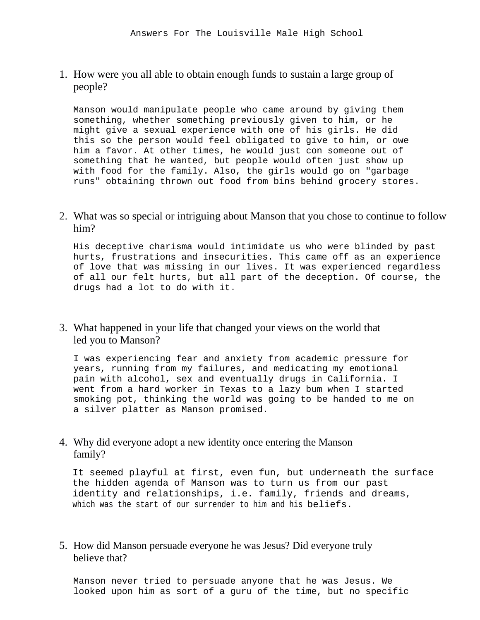1. How were you all able to obtain enough funds to sustain a large group of people?

Manson would manipulate people who came around by giving them something, whether something previously given to him, or he might give a sexual experience with one of his girls. He did this so the person would feel obligated to give to him, or owe him a favor. At other times, he would just con someone out of something that he wanted, but people would often just show up with food for the family. Also, the girls would go on "garbage runs" obtaining thrown out food from bins behind grocery stores.

2. What was so special or intriguing about Manson that you chose to continue to follow him?

His deceptive charisma would intimidate us who were blinded by past hurts, frustrations and insecurities. This came off as an experience of love that was missing in our lives. It was experienced regardless of all our felt hurts, but all part of the deception. Of course, the drugs had a lot to do with it.

3. What happened in your life that changed your views on the world that led you to Manson?

I was experiencing fear and anxiety from academic pressure for years, running from my failures, and medicating my emotional pain with alcohol, sex and eventually drugs in California. I went from a hard worker in Texas to a lazy bum when I started smoking pot, thinking the world was going to be handed to me on a silver platter as Manson promised.

4. Why did everyone adopt a new identity once entering the Manson family?

It seemed playful at first, even fun, but underneath the surface the hidden agenda of Manson was to turn us from our past identity and relationships, i.e. family, friends and dreams, which was the start of our surrender to him and his beliefs.

5. How did Manson persuade everyone he was Jesus? Did everyone truly believe that?

Manson never tried to persuade anyone that he was Jesus. We looked upon him as sort of a guru of the time, but no specific